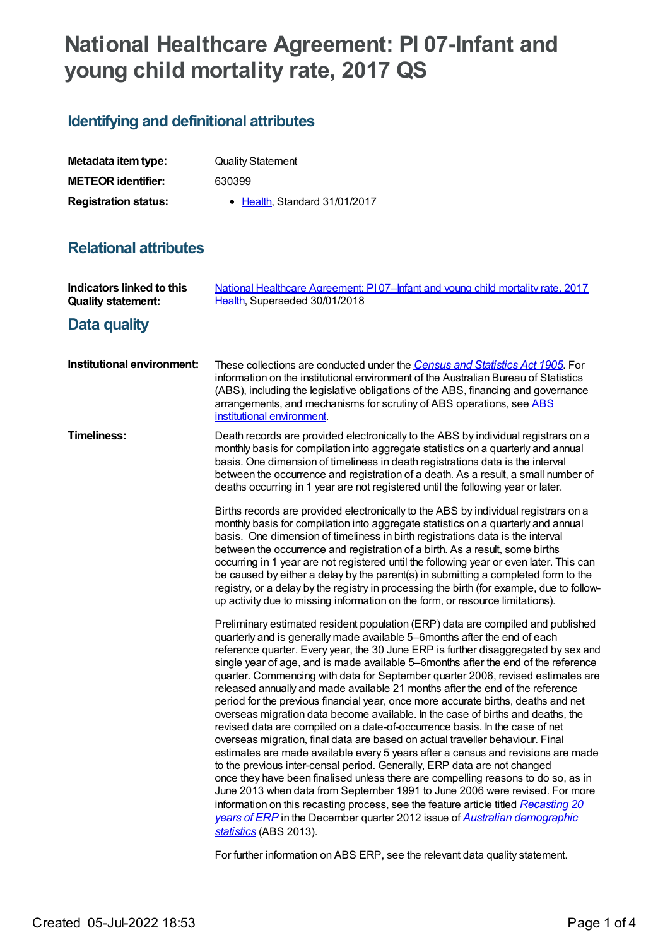# **National Healthcare Agreement: PI 07-Infant and young child mortality rate, 2017 QS**

## **Identifying and definitional attributes**

| Metadata item type:         | <b>Quality Statement</b>      |
|-----------------------------|-------------------------------|
| <b>METEOR identifier:</b>   | 630399                        |
| <b>Registration status:</b> | • Health, Standard 31/01/2017 |

## **Relational attributes**

| <b>Indicators linked to this</b><br><b>Quality statement:</b> | National Healthcare Agreement: P107-Infant and young child mortality rate, 2017<br>Health, Superseded 30/01/2018                                                                                                                                                                                                                                                                                                                                                                                                                                                                                                                                                                                                                                                                                                                                                                                                                                                                                                                                                                                                                                                                                                                                                                                                                                                                      |
|---------------------------------------------------------------|---------------------------------------------------------------------------------------------------------------------------------------------------------------------------------------------------------------------------------------------------------------------------------------------------------------------------------------------------------------------------------------------------------------------------------------------------------------------------------------------------------------------------------------------------------------------------------------------------------------------------------------------------------------------------------------------------------------------------------------------------------------------------------------------------------------------------------------------------------------------------------------------------------------------------------------------------------------------------------------------------------------------------------------------------------------------------------------------------------------------------------------------------------------------------------------------------------------------------------------------------------------------------------------------------------------------------------------------------------------------------------------|
| Data quality                                                  |                                                                                                                                                                                                                                                                                                                                                                                                                                                                                                                                                                                                                                                                                                                                                                                                                                                                                                                                                                                                                                                                                                                                                                                                                                                                                                                                                                                       |
| Institutional environment:                                    | These collections are conducted under the Census and Statistics Act 1905. For<br>information on the institutional environment of the Australian Bureau of Statistics<br>(ABS), including the legislative obligations of the ABS, financing and governance<br>arrangements, and mechanisms for scrutiny of ABS operations, see ABS<br>institutional environment.                                                                                                                                                                                                                                                                                                                                                                                                                                                                                                                                                                                                                                                                                                                                                                                                                                                                                                                                                                                                                       |
| <b>Timeliness:</b>                                            | Death records are provided electronically to the ABS by individual registrars on a<br>monthly basis for compilation into aggregate statistics on a quarterly and annual<br>basis. One dimension of timeliness in death registrations data is the interval<br>between the occurrence and registration of a death. As a result, a small number of<br>deaths occurring in 1 year are not registered until the following year or later.                                                                                                                                                                                                                                                                                                                                                                                                                                                                                                                                                                                                                                                                                                                                                                                                                                                                                                                                                   |
|                                                               | Births records are provided electronically to the ABS by individual registrars on a<br>monthly basis for compilation into aggregate statistics on a quarterly and annual<br>basis. One dimension of timeliness in birth registrations data is the interval<br>between the occurrence and registration of a birth. As a result, some births<br>occurring in 1 year are not registered until the following year or even later. This can<br>be caused by either a delay by the parent(s) in submitting a completed form to the<br>registry, or a delay by the registry in processing the birth (for example, due to follow-<br>up activity due to missing information on the form, or resource limitations).                                                                                                                                                                                                                                                                                                                                                                                                                                                                                                                                                                                                                                                                             |
|                                                               | Preliminary estimated resident population (ERP) data are compiled and published<br>quarterly and is generally made available 5-6months after the end of each<br>reference quarter. Every year, the 30 June ERP is further disaggregated by sex and<br>single year of age, and is made available 5-6months after the end of the reference<br>quarter. Commencing with data for September quarter 2006, revised estimates are<br>released annually and made available 21 months after the end of the reference<br>period for the previous financial year, once more accurate births, deaths and net<br>overseas migration data become available. In the case of births and deaths, the<br>revised data are compiled on a date-of-occurrence basis. In the case of net<br>overseas migration, final data are based on actual traveller behaviour. Final<br>estimates are made available every 5 years after a census and revisions are made<br>to the previous inter-censal period. Generally, ERP data are not changed<br>once they have been finalised unless there are compelling reasons to do so, as in<br>June 2013 when data from September 1991 to June 2006 were revised. For more<br>information on this recasting process, see the feature article titled Recasting 20<br>years of ERP in the December quarter 2012 issue of Australian demographic<br>statistics (ABS 2013). |

For further information on ABS ERP, see the relevant data quality statement.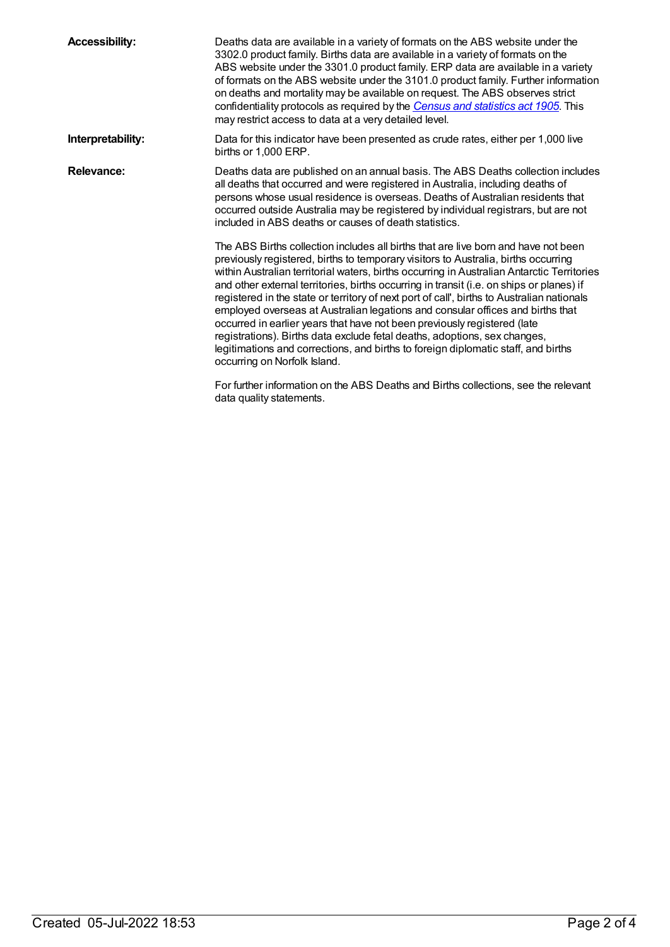| <b>Accessibility:</b> | Deaths data are available in a variety of formats on the ABS website under the<br>3302.0 product family. Births data are available in a variety of formats on the<br>ABS website under the 3301.0 product family. ERP data are available in a variety<br>of formats on the ABS website under the 3101.0 product family. Further information<br>on deaths and mortality may be available on request. The ABS observes strict<br>confidentiality protocols as required by the Census and statistics act 1905. This<br>may restrict access to data at a very detailed level.                                                                                                                                                                                                                                                        |
|-----------------------|----------------------------------------------------------------------------------------------------------------------------------------------------------------------------------------------------------------------------------------------------------------------------------------------------------------------------------------------------------------------------------------------------------------------------------------------------------------------------------------------------------------------------------------------------------------------------------------------------------------------------------------------------------------------------------------------------------------------------------------------------------------------------------------------------------------------------------|
| Interpretability:     | Data for this indicator have been presented as crude rates, either per 1,000 live<br>births or 1.000 ERP.                                                                                                                                                                                                                                                                                                                                                                                                                                                                                                                                                                                                                                                                                                                        |
| <b>Relevance:</b>     | Deaths data are published on an annual basis. The ABS Deaths collection includes<br>all deaths that occurred and were registered in Australia, including deaths of<br>persons whose usual residence is overseas. Deaths of Australian residents that<br>occurred outside Australia may be registered by individual registrars, but are not<br>included in ABS deaths or causes of death statistics.                                                                                                                                                                                                                                                                                                                                                                                                                              |
|                       | The ABS Births collection includes all births that are live born and have not been<br>previously registered, births to temporary visitors to Australia, births occurring<br>within Australian territorial waters, births occurring in Australian Antarctic Territories<br>and other external territories, births occurring in transit (i.e. on ships or planes) if<br>registered in the state or territory of next port of call', births to Australian nationals<br>employed overseas at Australian legations and consular offices and births that<br>occurred in earlier years that have not been previously registered (late<br>registrations). Births data exclude fetal deaths, adoptions, sex changes,<br>legitimations and corrections, and births to foreign diplomatic staff, and births<br>occurring on Norfolk Island. |
|                       | For further information on the ABS Deaths and Births collections, see the relevant<br>data quality statements.                                                                                                                                                                                                                                                                                                                                                                                                                                                                                                                                                                                                                                                                                                                   |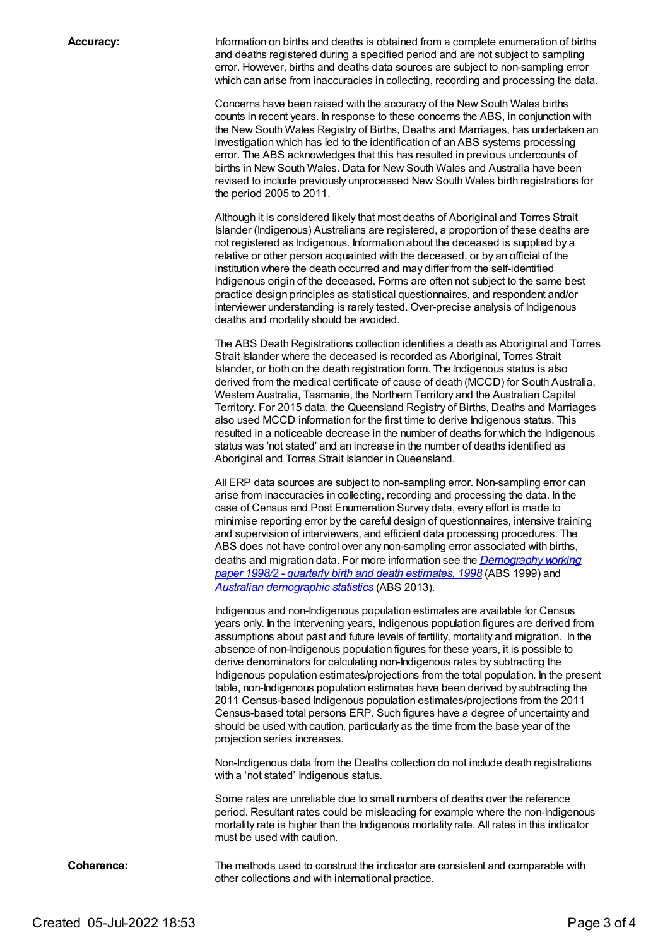**Accuracy:** Information on births and deaths is obtained from a complete enumeration of births and deaths registered during a specified period and are not subject to sampling error. However, births and deaths data sources are subject to non-sampling error which can arise from inaccuracies in collecting, recording and processing the data.

> Concerns have been raised with the accuracy of the New South Wales births counts in recent years. In response to these concerns the ABS, in conjunction with the New South Wales Registry of Births, Deaths and Marriages, has undertaken an investigation which has led to the identification of an ABS systems processing error. The ABS acknowledges that this has resulted in previous undercounts of births in New South Wales. Data for New South Wales and Australia have been revised to include previously unprocessed New South Wales birth registrations for the period 2005 to 2011.

Although it is considered likely that most deaths of Aboriginal and Torres Strait Islander (Indigenous) Australians are registered, a proportion of these deaths are not registered as Indigenous. Information about the deceased is supplied by a relative or other person acquainted with the deceased, or by an official of the institution where the death occurred and may differ from the self-identified Indigenous origin of the deceased. Forms are often not subject to the same best practice design principles as statistical questionnaires, and respondent and/or interviewer understanding is rarely tested. Over-precise analysis of Indigenous deaths and mortality should be avoided.

The ABS Death Registrations collection identifies a death as Aboriginal and Torres Strait Islander where the deceased is recorded as Aboriginal, Torres Strait Islander, or both on the death registration form. The Indigenous status is also derived from the medical certificate of cause of death (MCCD) for South Australia, Western Australia, Tasmania, the Northern Territory and the Australian Capital Territory. For 2015 data, the Queensland Registry of Births, Deaths and Marriages also used MCCD information for the first time to derive Indigenous status. This resulted in a noticeable decrease in the number of deaths for which the Indigenous status was 'not stated' and an increase in the number of deaths identified as Aboriginal and Torres Strait Islander in Queensland.

All ERP data sources are subject to non-sampling error. Non-sampling error can arise from inaccuracies in collecting, recording and processing the data. In the case of Census and Post Enumeration Survey data, every effort is made to minimise reporting error by the careful design of questionnaires, intensive training and supervision of interviewers, and efficient data processing procedures. The ABS does not have control over any non-sampling error associated with births, deaths and migration data. For more information see the *[Demography](http://www.abs.gov.au/AUSSTATS/abs@.nsf/ProductsbyCatalogue/B5BE54544A5DAFEFCA257061001F4540?OpenDocument) working paper 1998/2 - quarterly birth and death estimates, 1998* (ABS 1999) and *Australian [demographic](http://www.abs.gov.au/ausstats/abs@.nsf/mf/3101.0) statistics* (ABS 2013).

Indigenous and non-Indigenous population estimates are available for Census years only. In the intervening years, Indigenous population figures are derived from assumptions about past and future levels of fertility, mortality and migration. In the absence of non-Indigenous population figures for these years, it is possible to derive denominators for calculating non-Indigenous rates by subtracting the Indigenous population estimates/projections from the total population. In the present table, non-Indigenous population estimates have been derived by subtracting the 2011 Census-based Indigenous population estimates/projections from the 2011 Census-based total persons ERP. Such figures have a degree of uncertainty and should be used with caution, particularly as the time from the base year of the projection series increases.

Non-Indigenous data from the Deaths collection do not include death registrations with a 'not stated' Indigenous status.

Some rates are unreliable due to small numbers of deaths over the reference period. Resultant rates could be misleading for example where the non-Indigenous mortality rate is higher than the Indigenous mortality rate. All rates in this indicator must be used with caution.

**Coherence:** The methods used to construct the indicator are consistent and comparable with other collections and with international practice.